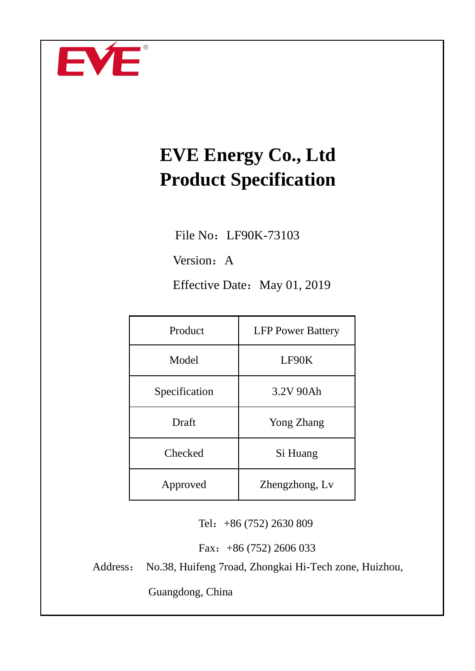

# **EVE Energy Co., Ltd Product Specification**

File No: LF90K-73103

Version: A

Effective Date: May 01, 2019

| Product       | <b>LFP Power Battery</b> |
|---------------|--------------------------|
| Model         | LF90K                    |
| Specification | 3.2V 90Ah                |
| Draft         | Yong Zhang               |
| Checked       | Si Huang                 |
| Approved      | Zhengzhong, Lv           |

Tel:+86 (752) 2630 809

Fax:+86 (752) 2606 033

Address: No.38, Huifeng 7road, Zhongkai Hi-Tech zone, Huizhou,

Guangdong, China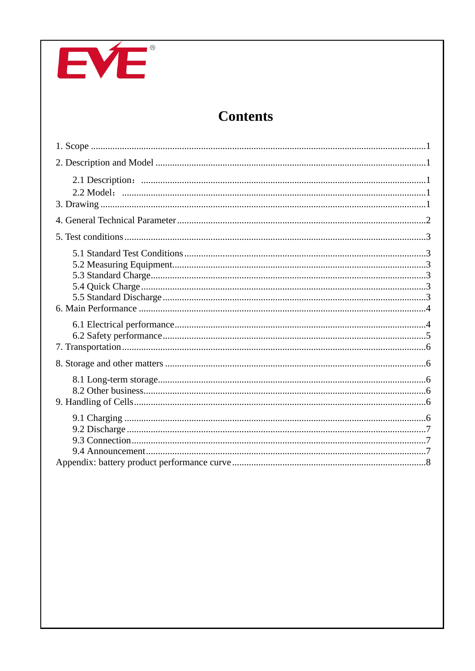

## **Contents**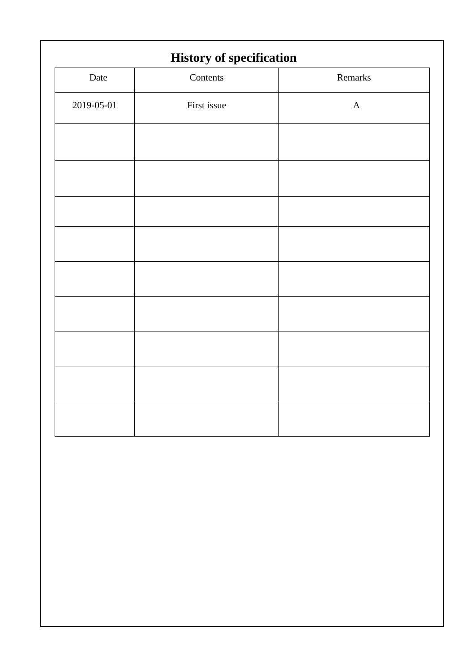| <b>History of specification</b> |              |  |  |  |  |
|---------------------------------|--------------|--|--|--|--|
| Contents                        | Remarks      |  |  |  |  |
| First issue                     | $\mathbf{A}$ |  |  |  |  |
|                                 |              |  |  |  |  |
|                                 |              |  |  |  |  |
|                                 |              |  |  |  |  |
|                                 |              |  |  |  |  |
|                                 |              |  |  |  |  |
|                                 |              |  |  |  |  |
|                                 |              |  |  |  |  |
|                                 |              |  |  |  |  |
|                                 |              |  |  |  |  |
|                                 |              |  |  |  |  |
|                                 |              |  |  |  |  |
|                                 |              |  |  |  |  |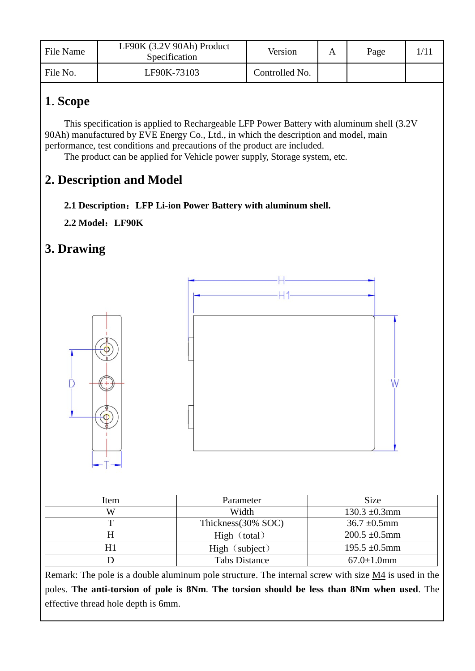| File Name | LF90K (3.2V 90Ah) Product<br>Specification | Version        | Α | Page | /11 |
|-----------|--------------------------------------------|----------------|---|------|-----|
| File No.  | LF90K-73103                                | Controlled No. |   |      |     |

### **1**. **Scope**

This specification is applied to Rechargeable LFP Power Battery with aluminum shell (3.2V 90Ah) manufactured by EVE Energy Co., Ltd., in which the description and model, main performance, test conditions and precautions of the product are included.

The product can be applied for Vehicle power supply, Storage system, etc.

### **2. Description and Model**

- **2.1 Description**:**LFP Li-ion Power Battery with aluminum shell.**
- **2.2 Model**:**LF90K**

### **3. Drawing**

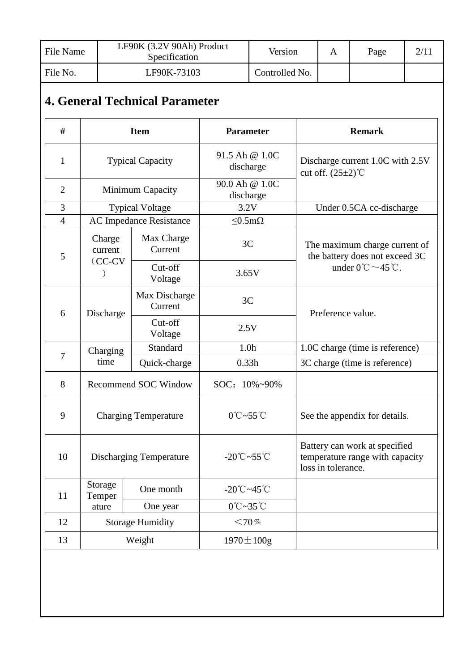| File Name | LF90K (3.2V 90Ah) Product<br>Specification | Version        | Page | 2/11 |
|-----------|--------------------------------------------|----------------|------|------|
| File No.  | LF90K-73103                                | Controlled No. |      |      |

# **4. General Technical Parameter**

| #              |                                | <b>Item</b>                    | <b>Parameter</b>                             | <b>Remark</b>                                                                          |                             |  |
|----------------|--------------------------------|--------------------------------|----------------------------------------------|----------------------------------------------------------------------------------------|-----------------------------|--|
| $\mathbf{1}$   |                                | <b>Typical Capacity</b>        | 91.5 Ah @ 1.0C<br>discharge                  | Discharge current 1.0C with 2.5V<br>cut off. $(25\pm2)$ °C                             |                             |  |
| $\overline{2}$ | Minimum Capacity               |                                |                                              |                                                                                        | 90.0 Ah @ 1.0C<br>discharge |  |
| 3              | <b>Typical Voltage</b>         |                                | 3.2V                                         | Under 0.5CA cc-discharge                                                               |                             |  |
| $\overline{4}$ |                                | <b>AC Impedance Resistance</b> | $\leq 0.5$ m $\Omega$                        |                                                                                        |                             |  |
| 5              | Charge<br>current              | Max Charge<br>Current          | 3C                                           | The maximum charge current of<br>the battery does not exceed 3C                        |                             |  |
|                | $(CC-CV$<br>$\mathcal{E}$      | Cut-off<br>Voltage             | 3.65V                                        | under $0^{\circ}$ C ~45 $^{\circ}$ C.                                                  |                             |  |
| 6              | Discharge                      | Max Discharge<br>Current       | 3C                                           | Preference value.                                                                      |                             |  |
|                |                                | Cut-off<br>Voltage             | 2.5V                                         |                                                                                        |                             |  |
|                | Charging                       | Standard                       | 1.0h                                         | 1.0C charge (time is reference)                                                        |                             |  |
| $\overline{7}$ | time                           | Quick-charge                   | 0.33h                                        | 3C charge (time is reference)                                                          |                             |  |
| 8              |                                | <b>Recommend SOC Window</b>    | SOC: 10%~90%                                 |                                                                                        |                             |  |
| 9              |                                | <b>Charging Temperature</b>    | $0^\circ$ C~55 $\circ$ C                     | See the appendix for details.                                                          |                             |  |
| 10             | <b>Discharging Temperature</b> |                                | $-20^{\circ}\text{C}$ ~55 $^{\circ}\text{C}$ | Battery can work at specified<br>temperature range with capacity<br>loss in tolerance. |                             |  |
| 11             | Storage<br>One month<br>Temper |                                | $-20^{\circ}$ C ~45 $^{\circ}$ C             |                                                                                        |                             |  |
|                | ature                          | One year                       | 0°C~35°C                                     |                                                                                        |                             |  |
| 12             |                                | <b>Storage Humidity</b>        | $<$ 70%                                      |                                                                                        |                             |  |
| 13             |                                | Weight                         | $1970 \pm 100g$                              |                                                                                        |                             |  |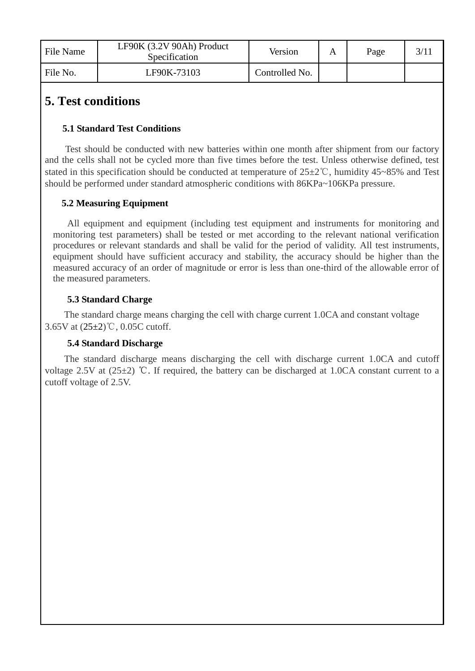| File Name | LF90K (3.2V 90Ah) Product<br>Specification | Version        | Page | 3/11 |
|-----------|--------------------------------------------|----------------|------|------|
| File No.  | LF90K-73103                                | Controlled No. |      |      |

### **5. Test conditions**

### **5.1 Standard Test Conditions**

Test should be conducted with new batteries within one month after shipment from our factory and the cells shall not be cycled more than five times before the test. Unless otherwise defined, test stated in this specification should be conducted at temperature of  $25\pm2^{\circ}$ C, humidity 45~85% and Test should be performed under standard atmospheric conditions with 86KPa~106KPa pressure.

### **5.2 Measuring Equipment**

All equipment and equipment (including test equipment and instruments for monitoring and monitoring test parameters) shall be tested or met according to the relevant national verification procedures or relevant standards and shall be valid for the period of validity. All test instruments, equipment should have sufficient accuracy and stability, the accuracy should be higher than the measured accuracy of an order of magnitude or error is less than one-third of the allowable error of the measured parameters.

#### **5.3 Standard Charge**

The standard charge means charging the cell with charge current 1.0CA and constant voltage 3.65V at (25±2)℃, 0.05C cutoff.

#### **5.4 Standard Discharge**

The standard discharge means discharging the cell with discharge current 1.0CA and cutoff voltage 2.5V at (25±2) ℃. If required, the battery can be discharged at 1.0CA constant current to a cutoff voltage of 2.5V.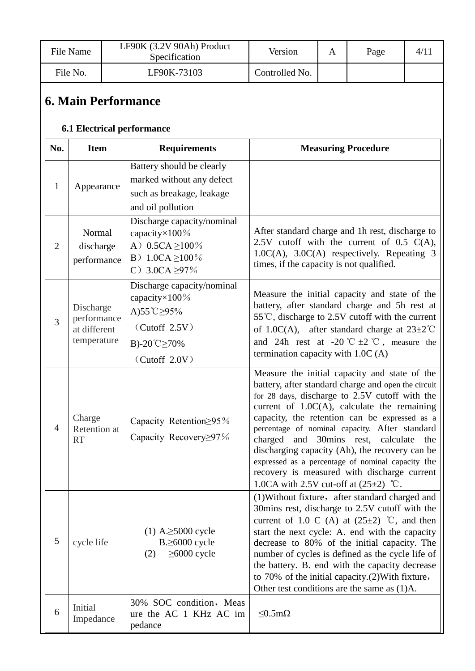| File Name | LF90K (3.2V 90Ah) Product<br>Specification | Version        | Page | $4/1^{\circ}$ |
|-----------|--------------------------------------------|----------------|------|---------------|
| File No.  | LF90K-73103                                | Controlled No. |      |               |

# **6. Main Performance**

### **6.1 Electrical performance**

| No.            | <b>Item</b>                                             | <b>Requirements</b>                                                                                                | <b>Measuring Procedure</b>                                                                                                                                                                                                                                                                                                                                                                                                                                                                                                                                  |
|----------------|---------------------------------------------------------|--------------------------------------------------------------------------------------------------------------------|-------------------------------------------------------------------------------------------------------------------------------------------------------------------------------------------------------------------------------------------------------------------------------------------------------------------------------------------------------------------------------------------------------------------------------------------------------------------------------------------------------------------------------------------------------------|
| $\mathbf{1}$   | Appearance                                              | Battery should be clearly<br>marked without any defect<br>such as breakage, leakage<br>and oil pollution           |                                                                                                                                                                                                                                                                                                                                                                                                                                                                                                                                                             |
| 2              | Normal<br>discharge<br>performance                      | Discharge capacity/nominal<br>capacity×100%<br>A) $0.5CA \ge 100\%$<br>B) $1.0CA \ge 100\%$<br>C) 3.0CA $\geq$ 97% | After standard charge and 1h rest, discharge to<br>2.5V cutoff with the current of 0.5 $C(A)$ ,<br>1.0C(A), 3.0C(A) respectively. Repeating 3<br>times, if the capacity is not qualified.                                                                                                                                                                                                                                                                                                                                                                   |
| 3              | Discharge<br>performance<br>at different<br>temperature | Discharge capacity/nominal<br>capacity×100%<br>A)55°C≥95%<br>(Cutoff 2.5V)<br>B)-20℃≥70%<br>(Cutoff 2.0V)          | Measure the initial capacity and state of the<br>battery, after standard charge and 5h rest at<br>55℃, discharge to 2.5V cutoff with the current<br>of 1.0C(A), after standard charge at $23 \pm 2^{\circ}$ C<br>and 24h rest at -20 °C $\pm$ 2 °C, measure the<br>termination capacity with $1.0C(A)$                                                                                                                                                                                                                                                      |
| $\overline{4}$ | Charge<br>Retention at<br><b>RT</b>                     | Capacity Retention≥95%<br>Capacity Recovery≥97%                                                                    | Measure the initial capacity and state of the<br>battery, after standard charge and open the circuit<br>for 28 days, discharge to 2.5V cutoff with the<br>current of $1.0C(A)$ , calculate the remaining<br>capacity, the retention can be expressed as a<br>percentage of nominal capacity. After standard<br>charged and 30mins rest, calculate<br>the<br>discharging capacity (Ah), the recovery can be<br>expressed as a percentage of nominal capacity the<br>recovery is measured with discharge current<br>1.0CA with 2.5V cut-off at $(25\pm2)$ °C. |
| 5              | cycle life                                              | (1) A. $\geq$ 5000 cycle<br>$B \geq 6000$ cycle<br>$\geq$ 6000 cycle<br>(2)                                        | (1) Without fixture, after standard charged and<br>30mins rest, discharge to 2.5V cutoff with the<br>current of 1.0 C (A) at $(25\pm2)$ °C, and then<br>start the next cycle: A. end with the capacity<br>decrease to 80% of the initial capacity. The<br>number of cycles is defined as the cycle life of<br>the battery. B. end with the capacity decrease<br>to 70% of the initial capacity.(2) With fixture,<br>Other test conditions are the same as (1)A.                                                                                             |
| 6              | Initial<br>Impedance                                    | 30% SOC condition, Meas<br>ure the AC 1 KHz AC im<br>pedance                                                       | $\leq 0.5$ m $\Omega$                                                                                                                                                                                                                                                                                                                                                                                                                                                                                                                                       |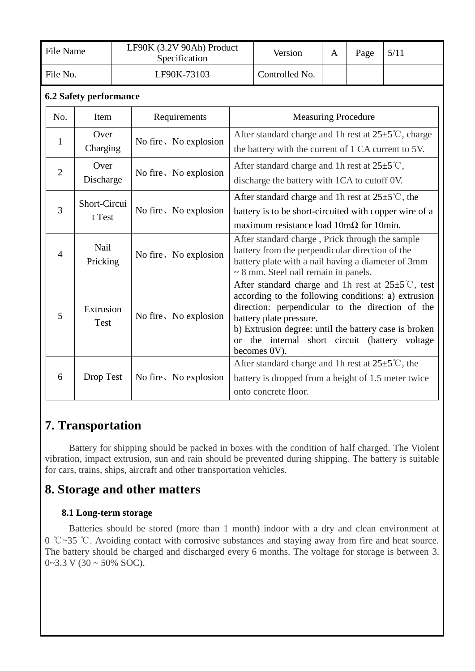|                               | <b>File Name</b>       |  | LF90K (3.2V 90Ah) Product<br>Specification |                       |                                                                                                                                                                                                                                                                                                                                | Version                                                                                                                                     | A | Page | 5/11 |
|-------------------------------|------------------------|--|--------------------------------------------|-----------------------|--------------------------------------------------------------------------------------------------------------------------------------------------------------------------------------------------------------------------------------------------------------------------------------------------------------------------------|---------------------------------------------------------------------------------------------------------------------------------------------|---|------|------|
| File No.                      |                        |  | LF90K-73103                                |                       |                                                                                                                                                                                                                                                                                                                                | Controlled No.                                                                                                                              |   |      |      |
| <b>6.2 Safety performance</b> |                        |  |                                            |                       |                                                                                                                                                                                                                                                                                                                                |                                                                                                                                             |   |      |      |
| No.                           | Item                   |  |                                            | Requirements          |                                                                                                                                                                                                                                                                                                                                | <b>Measuring Procedure</b>                                                                                                                  |   |      |      |
| $\mathbf{1}$                  | Over<br>Charging       |  |                                            | No fire, No explosion |                                                                                                                                                                                                                                                                                                                                | After standard charge and 1h rest at $25\pm5^{\circ}$ C, charge<br>the battery with the current of 1 CA current to 5V.                      |   |      |      |
| $\overline{2}$                | Over<br>Discharge      |  |                                            | No fire, No explosion | After standard charge and 1h rest at $25\pm5^{\circ}$ C,<br>discharge the battery with 1CA to cutoff 0V.                                                                                                                                                                                                                       |                                                                                                                                             |   |      |      |
| $\overline{3}$                | Short-Circui<br>t Test |  |                                            | No fire, No explosion | After standard charge and 1h rest at $25\pm 5^{\circ}$ C, the<br>battery is to be short-circuited with copper wire of a<br>maximum resistance load $10 \text{m}\Omega$ for 10min.                                                                                                                                              |                                                                                                                                             |   |      |      |
| $\overline{4}$                | Nail<br>Pricking       |  |                                            | No fire, No explosion | After standard charge, Prick through the sample<br>battery from the perpendicular direction of the<br>battery plate with a nail having a diameter of 3mm<br>$\sim$ 8 mm. Steel nail remain in panels.                                                                                                                          |                                                                                                                                             |   |      |      |
| 5                             | Extrusion<br>Test      |  |                                            | No fire, No explosion | After standard charge and 1h rest at $25\pm5^{\circ}$ C, test<br>according to the following conditions: a) extrusion<br>direction: perpendicular to the direction of the<br>battery plate pressure.<br>b) Extrusion degree: until the battery case is broken<br>or the internal short circuit (battery voltage<br>becomes 0V). |                                                                                                                                             |   |      |      |
| 6                             | Drop Test              |  |                                            | No fire, No explosion |                                                                                                                                                                                                                                                                                                                                | After standard charge and 1h rest at $25\pm5^{\circ}$ C, the<br>battery is dropped from a height of 1.5 meter twice<br>onto concrete floor. |   |      |      |

### **7. Transportation**

Battery for shipping should be packed in boxes with the condition of half charged. The Violent vibration, impact extrusion, sun and rain should be prevented during shipping. The battery is suitable for cars, trains, ships, aircraft and other transportation vehicles.

### **8. Storage and other matters**

### **8.1 Long-term storage**

Batteries should be stored (more than 1 month) indoor with a dry and clean environment at 0 ℃~35 ℃. Avoiding contact with corrosive substances and staying away from fire and heat source. The battery should be charged and discharged every 6 months. The voltage for storage is between 3.  $0 \sim 3.3$  V (30  $\sim 50\%$  SOC).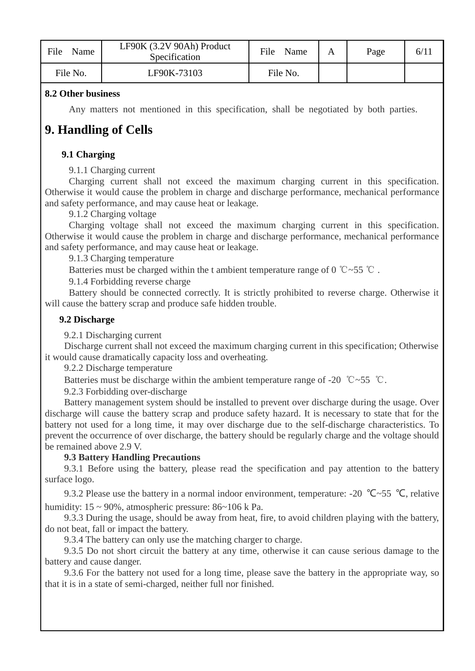| File<br>Name | LF90K (3.2V 90Ah) Product<br>Specification | File<br>Name | Page | 6/11 |
|--------------|--------------------------------------------|--------------|------|------|
| File No.     | LF90K-73103                                | File No.     |      |      |

### **8.2 Other business**

Any matters not mentioned in this specification, shall be negotiated by both parties.

### **9. Handling of Cells**

### **9.1 Charging**

9.1.1 Charging current

Charging current shall not exceed the maximum charging current in this specification. Otherwise it would cause the problem in charge and discharge performance, mechanical performance and safety performance, and may cause heat or leakage.

9.1.2 Charging voltage

Charging voltage shall not exceed the maximum charging current in this specification. Otherwise it would cause the problem in charge and discharge performance, mechanical performance and safety performance, and may cause heat or leakage.

9.1.3 Charging temperature

Batteries must be charged within the t ambient temperature range of 0  $\degree \text{C} \sim 55 \degree \text{C}$ .

9.1.4 Forbidding reverse charge

Battery should be connected correctly. It is strictly prohibited to reverse charge. Otherwise it will cause the battery scrap and produce safe hidden trouble.

#### **9.2 Discharge**

9.2.1 Discharging current

Discharge current shall not exceed the maximum charging current in this specification; Otherwise it would cause dramatically capacity loss and overheating.

9.2.2 Discharge temperature

Batteries must be discharge within the ambient temperature range of -20  $\degree$ C $\sim$ 55  $\degree$ C.

9.2.3 Forbidding over-discharge

Battery management system should be installed to prevent over discharge during the usage. Over discharge will cause the battery scrap and produce safety hazard. It is necessary to state that for the battery not used for a long time, it may over discharge due to the self-discharge characteristics. To prevent the occurrence of over discharge, the battery should be regularly charge and the voltage should be remained above 2.9 V.

#### **9.3 Battery Handling Precautions**

9.3.1 Before using the battery, please read the specification and pay attention to the battery surface logo.

9.3.2 Please use the battery in a normal indoor environment, temperature: -20 °C~55 °C, relative humidity:  $15 \sim 90\%$ , atmospheric pressure:  $86 \sim 106$  k Pa.

9.3.3 During the usage, should be away from heat, fire, to avoid children playing with the battery, do not beat, fall or impact the battery.

9.3.4 The battery can only use the matching charger to charge.

9.3.5 Do not short circuit the battery at any time, otherwise it can cause serious damage to the battery and cause danger.

9.3.6 For the battery not used for a long time, please save the battery in the appropriate way, so that it is in a state of semi-charged, neither full nor finished.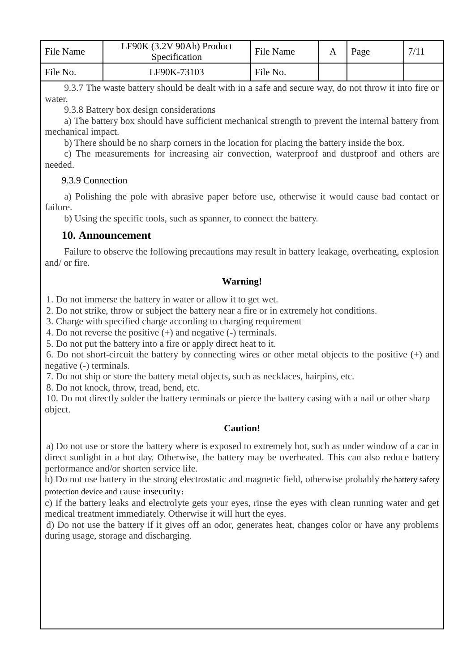| File Name | LF90K (3.2V 90Ah) Product<br>Specification | <b>File Name</b> | Page | 7/1 |
|-----------|--------------------------------------------|------------------|------|-----|
| File No.  | LF90K-73103                                | File No.         |      |     |

9.3.7 The waste battery should be dealt with in a safe and secure way, do not throw it into fire or water.

9.3.8 Battery box design considerations

a) The battery box should have sufficient mechanical strength to prevent the internal battery from mechanical impact.

b) There should be no sharp corners in the location for placing the battery inside the box.

c) The measurements for increasing air convection, waterproof and dustproof and others are needed.

#### 9.3.9 Connection

a) Polishing the pole with abrasive paper before use, otherwise it would cause bad contact or failure.

b) Using the specific tools, such as spanner, to connect the battery.

### **10. Announcement**

 Failure to observe the following precautions may result in battery leakage, overheating, explosion and/ or fire.

### **Warning!**

1. Do not immerse the battery in water or allow it to get wet.

2. Do not strike, throw or subject the battery near a fire or in extremely hot conditions.

3. Charge with specified charge according to charging requirement

4. Do not reverse the positive (+) and negative (-) terminals.

5. Do not put the battery into a fire or apply direct heat to it.

6. Do not short-circuit the battery by connecting wires or other metal objects to the positive (+) and negative (-) terminals.

7. Do not ship or store the battery metal objects, such as necklaces, hairpins, etc.

8. Do not knock, throw, tread, bend, etc.

10. Do not directly solder the battery terminals or pierce the battery casing with a nail or other sharp object.

#### **Caution!**

a) Do not use or store the battery where is exposed to extremely hot, such as under window of a car in direct sunlight in a hot day. Otherwise, the battery may be overheated. This can also reduce battery performance and/or shorten service life.

b) Do not use battery in the strong electrostatic and magnetic field, otherwise probably the battery safety protection device and cause insecurity;

c) If the battery leaks and electrolyte gets your eyes, rinse the eyes with clean running water and get medical treatment immediately. Otherwise it will hurt the eyes.

d) Do not use the battery if it gives off an odor, generates heat, changes color or have any problems during usage, storage and discharging.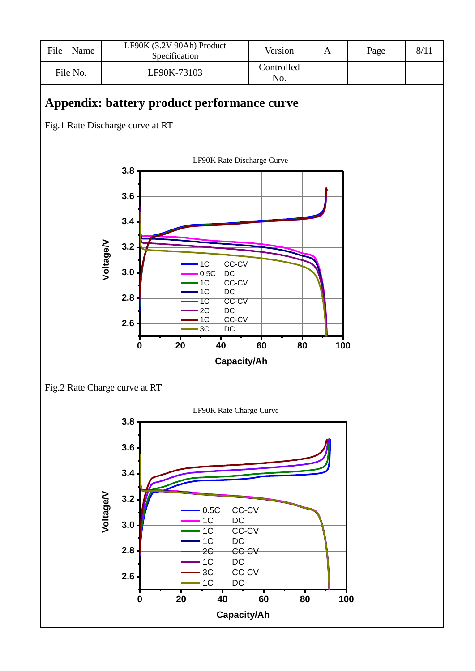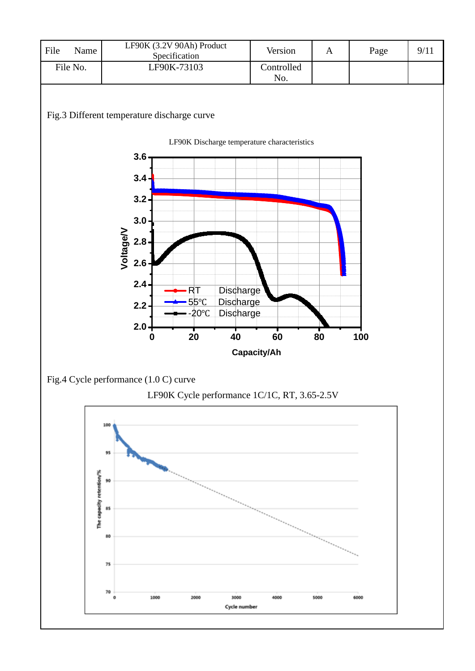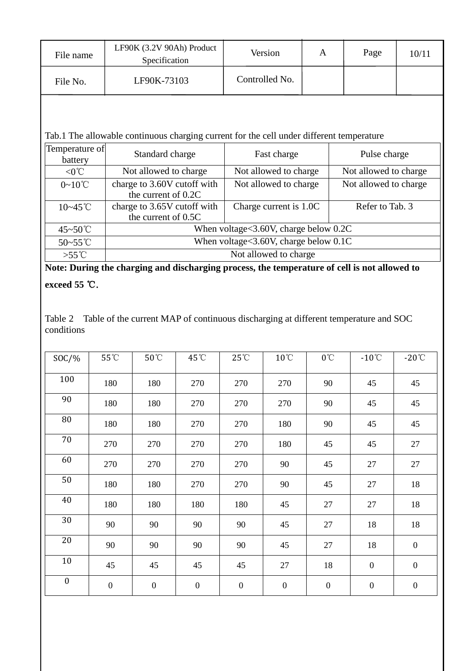| File name                                                                                | LF90K (3.2V 90Ah) Product<br>Specification         | Version                                   | A | Page                  | 10/11 |  |  |  |  |  |
|------------------------------------------------------------------------------------------|----------------------------------------------------|-------------------------------------------|---|-----------------------|-------|--|--|--|--|--|
| File No.                                                                                 | LF90K-73103                                        | Controlled No.                            |   |                       |       |  |  |  |  |  |
|                                                                                          |                                                    |                                           |   |                       |       |  |  |  |  |  |
| Tab.1 The allowable continuous charging current for the cell under different temperature |                                                    |                                           |   |                       |       |  |  |  |  |  |
| Temperature of<br>battery                                                                | Standard charge                                    | Fast charge                               |   | Pulse charge          |       |  |  |  |  |  |
| $<0^{\circ}$ C                                                                           | Not allowed to charge                              | Not allowed to charge                     |   | Not allowed to charge |       |  |  |  |  |  |
| $0 - 10^{\circ}$ C                                                                       | charge to 3.60V cutoff with<br>the current of 0.2C | Not allowed to charge                     |   | Not allowed to charge |       |  |  |  |  |  |
| $10 - 45$ °C                                                                             | charge to 3.65V cutoff with<br>the current of 0.5C | Charge current is 1.0C<br>Refer to Tab. 3 |   |                       |       |  |  |  |  |  |
| 45~50°C                                                                                  | When voltage $<3.60V$ , charge below 0.2C          |                                           |   |                       |       |  |  |  |  |  |
| $50 - 55$ °C                                                                             | When voltage<3.60V, charge below 0.1C              |                                           |   |                       |       |  |  |  |  |  |
| $>55^{\circ}$ C                                                                          | Not allowed to charge                              |                                           |   |                       |       |  |  |  |  |  |

**Note: During the charging and discharging process, the temperature of cell is not allowed to** 

**exceed 55** ℃.

Table 2 Table of the current MAP of continuous discharging at different temperature and SOC conditions

| $SOC/\%$         | 55°C             | 50°C             | 45°C             | 25°C             | $10^{\circ}$ C   | $0^{\circ}$ C    | $-10^{\circ}$ C  | $-20^{\circ}$ C  |
|------------------|------------------|------------------|------------------|------------------|------------------|------------------|------------------|------------------|
| 100              | 180              | 180              | 270              | 270              | 270              | 90               | 45               | 45               |
| 90               | 180              | 180              | 270              | 270              | 270              | 90               | 45               | 45               |
| 80               | 180              | 180              | 270              | 270              | 180              | 90               | 45               | 45               |
| 70               | 270              | 270              | 270              | 270              | 180              | 45               | 45               | 27               |
| 60               | 270              | 270              | 270              | 270              | 90               | 45               | $27\,$           | 27               |
| 50               | 180              | 180              | 270              | 270              | 90               | 45               | $27\,$           | 18               |
| 40               | 180              | 180              | 180              | 180              | 45               | 27               | $27\,$           | 18               |
| 30               | 90               | 90               | 90               | 90               | 45               | $27\,$           | 18               | 18               |
| 20               | 90               | 90               | 90               | 90               | 45               | 27               | 18               | $\boldsymbol{0}$ |
| 10               | 45               | 45               | 45               | 45               | $27\,$           | 18               | $\boldsymbol{0}$ | $\boldsymbol{0}$ |
| $\boldsymbol{0}$ | $\boldsymbol{0}$ | $\boldsymbol{0}$ | $\boldsymbol{0}$ | $\boldsymbol{0}$ | $\boldsymbol{0}$ | $\boldsymbol{0}$ | $\boldsymbol{0}$ | $\boldsymbol{0}$ |